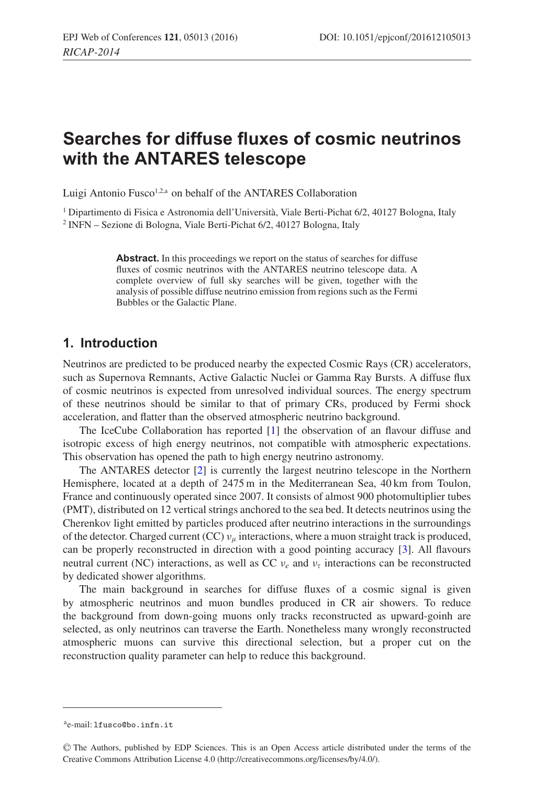# **Searches for diffuse fluxes of cosmic neutrinos with the ANTARES telescope**

Luigi Antonio Fusco<sup>1,2,a</sup> on behalf of the ANTARES Collaboration

<sup>1</sup> Dipartimento di Fisica e Astronomia dell'Università, Viale Berti-Pichat 6/2, 40127 Bologna, Italy <sup>2</sup> INFN – Sezione di Bologna, Viale Berti-Pichat 6/2, 40127 Bologna, Italy

> Abstract. In this proceedings we report on the status of searches for diffuse fluxes of cosmic neutrinos with the ANTARES neutrino telescope data. A complete overview of full sky searches will be given, together with the analysis of possible diffuse neutrino emission from regions such as the Fermi Bubbles or the Galactic Plane.

## **1. Introduction**

Neutrinos are predicted to be produced nearby the expected Cosmic Rays (CR) accelerators, such as Supernova Remnants, Active Galactic Nuclei or Gamma Ray Bursts. A diffuse flux of cosmic neutrinos is expected from unresolved individual sources. The energy spectrum of these neutrinos should be similar to that of primary CRs, produced by Fermi shock acceleration, and flatter than the observed atmospheric neutrino background.

The IceCube Collaboration has reported [\[1](#page-4-0)] the observation of an flavour diffuse and isotropic excess of high energy neutrinos, not compatible with atmospheric expectations. This observation has opened the path to high energy neutrino astronomy.

The ANTARES detector [\[2](#page-4-1)] is currently the largest neutrino telescope in the Northern Hemisphere, located at a depth of 2475 m in the Mediterranean Sea, 40 km from Toulon, France and continuously operated since 2007. It consists of almost 900 photomultiplier tubes (PMT), distributed on 12 vertical strings anchored to the sea bed. It detects neutrinos using the Cherenkov light emitted by particles produced after neutrino interactions in the surroundings of the detector. Charged current (CC)  $v_{\mu}$  interactions, where a muon straight track is produced, can be properly reconstructed in direction with a good pointing accuracy [\[3](#page-4-2)]. All flavours neutral current (NC) interactions, as well as CC  $v_e$  and  $v_\tau$  interactions can be reconstructed by dedicated shower algorithms.

The main background in searches for diffuse fluxes of a cosmic signal is given by atmospheric neutrinos and muon bundles produced in CR air showers. To reduce the background from down-going muons only tracks reconstructed as upward-goinh are selected, as only neutrinos can traverse the Earth. Nonetheless many wrongly reconstructed atmospheric muons can survive this directional selection, but a proper cut on the reconstruction quality parameter can help to reduce this background.

ae-mail: lfusco@bo.infn.it

<sup>C</sup> The Authors, published by EDP Sciences. This is an Open Access article distributed under the terms of the Creative Commons Attribution License 4.0 (http://creativecommons.org/licenses/by/4.0/).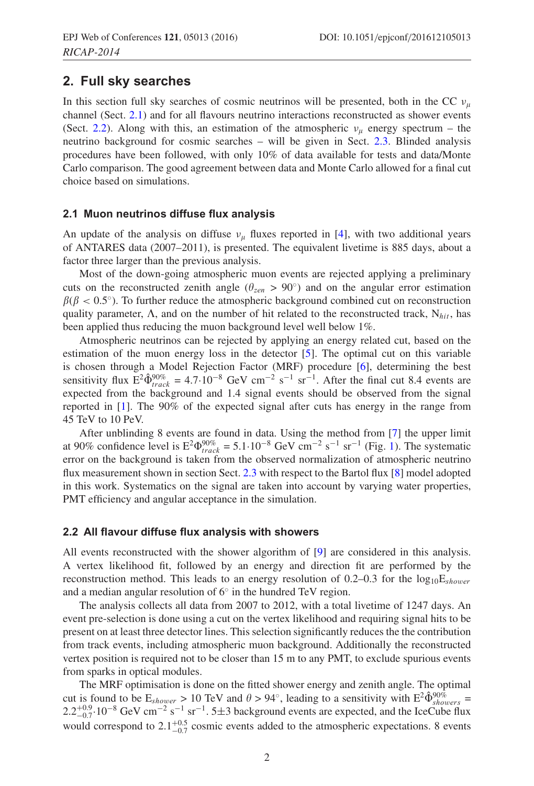### **2. Full sky searches**

In this section full sky searches of cosmic neutrinos will be presented, both in the CC  $v_u$ channel (Sect. [2.1\)](#page-1-0) and for all flavours neutrino interactions reconstructed as shower events (Sect. [2.2\)](#page-1-1). Along with this, an estimation of the atmospheric  $v_{\mu}$  energy spectrum – the neutrino background for cosmic searches – will be given in Sect. [2.3.](#page-2-0) Blinded analysis procedures have been followed, with only 10% of data available for tests and data/Monte Carlo comparison. The good agreement between data and Monte Carlo allowed for a final cut choice based on simulations.

### <span id="page-1-0"></span>**2.1 Muon neutrinos diffuse flux analysis**

An update of the analysis on diffuse  $v_{\mu}$  fluxes reported in [\[4](#page-4-3)], with two additional years of ANTARES data (2007–2011), is presented. The equivalent livetime is 885 days, about a factor three larger than the previous analysis.

Most of the down-going atmospheric muon events are rejected applying a preliminary cuts on the reconstructed zenith angle ( $\theta_{zen} > 90°$ ) and on the angular error estimation  $\beta(\beta < 0.5^{\circ})$ . To further reduce the atmospheric background combined cut on reconstruction quality parameter,  $\Lambda$ , and on the number of hit related to the reconstructed track,  $N_{hit}$ , has been applied thus reducing the muon background level well below 1%.

Atmospheric neutrinos can be rejected by applying an energy related cut, based on the estimation of the muon energy loss in the detector [\[5\]](#page-4-4). The optimal cut on this variable is chosen through a Model Rejection Factor (MRF) procedure [\[6](#page-4-5)], determining the best sensitivity flux  $E^2 \hat{\Phi}^{90\%}_{track} = 4.7 \cdot 10^{-8}$  GeV cm<sup>-2</sup> s<sup>-1</sup> sr<sup>-1</sup>. After the final cut 8.4 events are expected from the background and 1.4 signal events should be observed from the signal reported in [\[1](#page-4-0)]. The 90% of the expected signal after cuts has energy in the range from 45 TeV to 10 PeV.

After unblinding 8 events are found in data. Using the method from [\[7\]](#page-4-6) the upper limit at 90% confidence level is  $E^2 \Phi_{track}^{90\%} = 5.1 \cdot 10^{-8}$  GeV cm<sup>-2</sup> s<sup>-1</sup> sr<sup>-1</sup> (Fig. [1\)](#page-2-1). The systematic error on the background is taken from the observed normalization of atmospheric neutrino flux measurement shown in section Sect. [2.3](#page-2-0) with respect to the Bartol flux [\[8](#page-4-7)] model adopted in this work. Systematics on the signal are taken into account by varying water properties, PMT efficiency and angular acceptance in the simulation.

#### <span id="page-1-1"></span>**2.2 All flavour diffuse flux analysis with showers**

All events reconstructed with the shower algorithm of [\[9](#page-4-8)] are considered in this analysis. A vertex likelihood fit, followed by an energy and direction fit are performed by the reconstruction method. This leads to an energy resolution of 0.2–0.3 for the  $log_{10}E_{shower}$ and a median angular resolution of 6◦ in the hundred TeV region.

The analysis collects all data from 2007 to 2012, with a total livetime of 1247 days. An event pre-selection is done using a cut on the vertex likelihood and requiring signal hits to be present on at least three detector lines. This selection significantly reduces the the contribution from track events, including atmospheric muon background. Additionally the reconstructed vertex position is required not to be closer than 15 m to any PMT, to exclude spurious events from sparks in optical modules.

The MRF optimisation is done on the fitted shower energy and zenith angle. The optimal cut is found to be  $E_{shower} > 10$  TeV and  $\theta > 94^\circ$ , leading to a sensitivity with  $E^2 \hat{\Phi}_{showers}^{90\%} =$  $2.2^{+0.9}_{-0.7} \cdot 10^{-8}$  GeV cm<sup>-2</sup> s<sup>-1</sup> sr<sup>-1</sup>. 5±3 background events are expected, and the IceCube flux would correspond to  $2.1^{+0.5}_{-0.7}$  cosmic events added to the atmospheric expectations. 8 events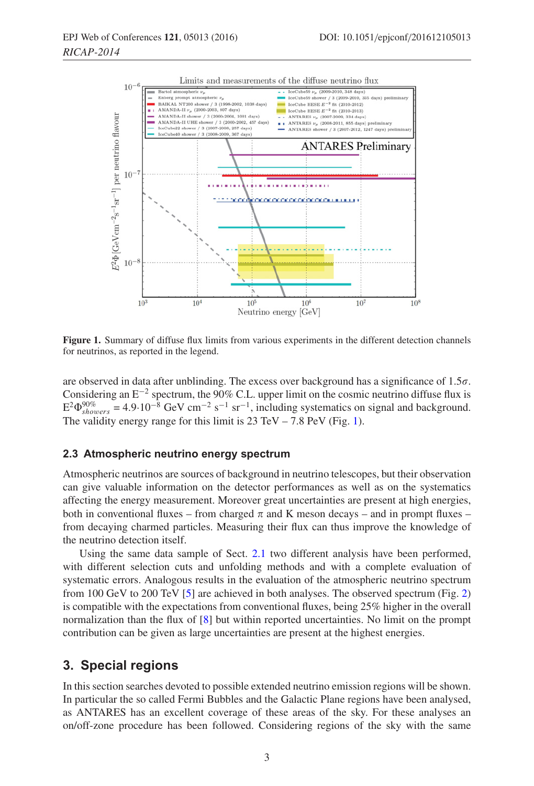<span id="page-2-1"></span>

**Figure 1.** Summary of diffuse flux limits from various experiments in the different detection channels for neutrinos, as reported in the legend.

are observed in data after unblinding. The excess over background has a significance of  $1.5\sigma$ . Considering an  $E^{-2}$  spectrum, the 90% C.L. upper limit on the cosmic neutrino diffuse flux is  $E^2 \Phi_{showers}^{90\%} = 4.9 \cdot 10^{-8}$  GeV cm<sup>-2</sup> s<sup>-1</sup> sr<sup>-1</sup>, including systematics on signal and background. The validity energy range for this limit is  $23 \text{ TeV} - 7.8 \text{ PeV}$  (Fig. [1\)](#page-2-1).

#### <span id="page-2-0"></span>**2.3 Atmospheric neutrino energy spectrum**

Atmospheric neutrinos are sources of background in neutrino telescopes, but their observation can give valuable information on the detector performances as well as on the systematics affecting the energy measurement. Moreover great uncertainties are present at high energies, both in conventional fluxes – from charged  $\pi$  and K meson decays – and in prompt fluxes – from decaying charmed particles. Measuring their flux can thus improve the knowledge of the neutrino detection itself.

Using the same data sample of Sect. [2.1](#page-1-0) two different analysis have been performed, with different selection cuts and unfolding methods and with a complete evaluation of systematic errors. Analogous results in the evaluation of the atmospheric neutrino spectrum from 100 GeV to 200 TeV [\[5\]](#page-4-4) are achieved in both analyses. The observed spectrum (Fig. [2\)](#page-3-0) is compatible with the expectations from conventional fluxes, being 25% higher in the overall normalization than the flux of [\[8](#page-4-7)] but within reported uncertainties. No limit on the prompt contribution can be given as large uncertainties are present at the highest energies.

### **3. Special regions**

In this section searches devoted to possible extended neutrino emission regions will be shown. In particular the so called Fermi Bubbles and the Galactic Plane regions have been analysed, as ANTARES has an excellent coverage of these areas of the sky. For these analyses an on/off-zone procedure has been followed. Considering regions of the sky with the same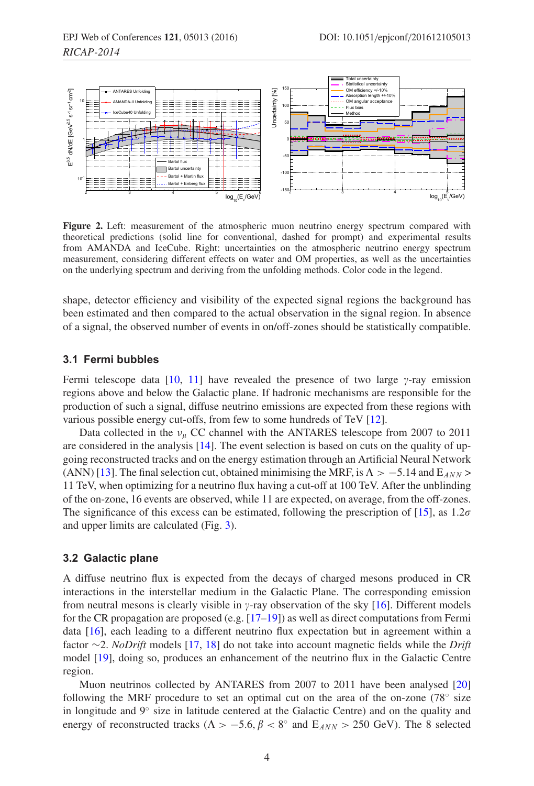<span id="page-3-0"></span>

**Figure 2.** Left: measurement of the atmospheric muon neutrino energy spectrum compared with theoretical predictions (solid line for conventional, dashed for prompt) and experimental results from AMANDA and IceCube. Right: uncertainties on the atmospheric neutrino energy spectrum measurement, considering different effects on water and OM properties, as well as the uncertainties on the underlying spectrum and deriving from the unfolding methods. Color code in the legend.

shape, detector efficiency and visibility of the expected signal regions the background has been estimated and then compared to the actual observation in the signal region. In absence of a signal, the observed number of events in on/off-zones should be statistically compatible.

#### **3.1 Fermi bubbles**

Fermi telescope data [\[10](#page-4-9), [11\]](#page-4-10) have revealed the presence of two large  $\gamma$ -ray emission regions above and below the Galactic plane. If hadronic mechanisms are responsible for the production of such a signal, diffuse neutrino emissions are expected from these regions with various possible energy cut-offs, from few to some hundreds of TeV [\[12\]](#page-4-11).

Data collected in the  $v_{\mu}$  CC channel with the ANTARES telescope from 2007 to 2011 are considered in the analysis [\[14](#page-4-12)]. The event selection is based on cuts on the quality of upgoing reconstructed tracks and on the energy estimation through an Artificial Neural Network (ANN) [\[13](#page-4-13)]. The final selection cut, obtained minimising the MRF, is  $\Lambda > -5.14$  and  $E_{ANN} >$ 11 TeV, when optimizing for a neutrino flux having a cut-off at 100 TeV. After the unblinding of the on-zone, 16 events are observed, while 11 are expected, on average, from the off-zones. The significance of this excess can be estimated, following the prescription of [\[15](#page-4-14)], as  $1.2\sigma$ and upper limits are calculated (Fig. [3\)](#page-4-15).

#### **3.2 Galactic plane**

A diffuse neutrino flux is expected from the decays of charged mesons produced in CR interactions in the interstellar medium in the Galactic Plane. The corresponding emission from neutral mesons is clearly visible in  $\gamma$ -ray observation of the sky [\[16\]](#page-4-16). Different models for the CR propagation are proposed (e.g.  $[17-19]$  $[17-19]$ ) as well as direct computations from Fermi data [\[16](#page-4-16)], each leading to a different neutrino flux expectation but in agreement within a factor ∼2. *NoDrift* models [\[17](#page-4-17), [18](#page-4-19)] do not take into account magnetic fields while the *Drift* model [\[19](#page-4-18)], doing so, produces an enhancement of the neutrino flux in the Galactic Centre region.

Muon neutrinos collected by ANTARES from 2007 to 2011 have been analysed [\[20\]](#page-4-20) following the MRF procedure to set an optimal cut on the area of the on-zone ( $78°$  size in longitude and 9◦ size in latitude centered at the Galactic Centre) and on the quality and energy of reconstructed tracks ( $\Lambda > -5.6$ ,  $\beta < 8^\circ$  and  $E_{ANN} > 250$  GeV). The 8 selected